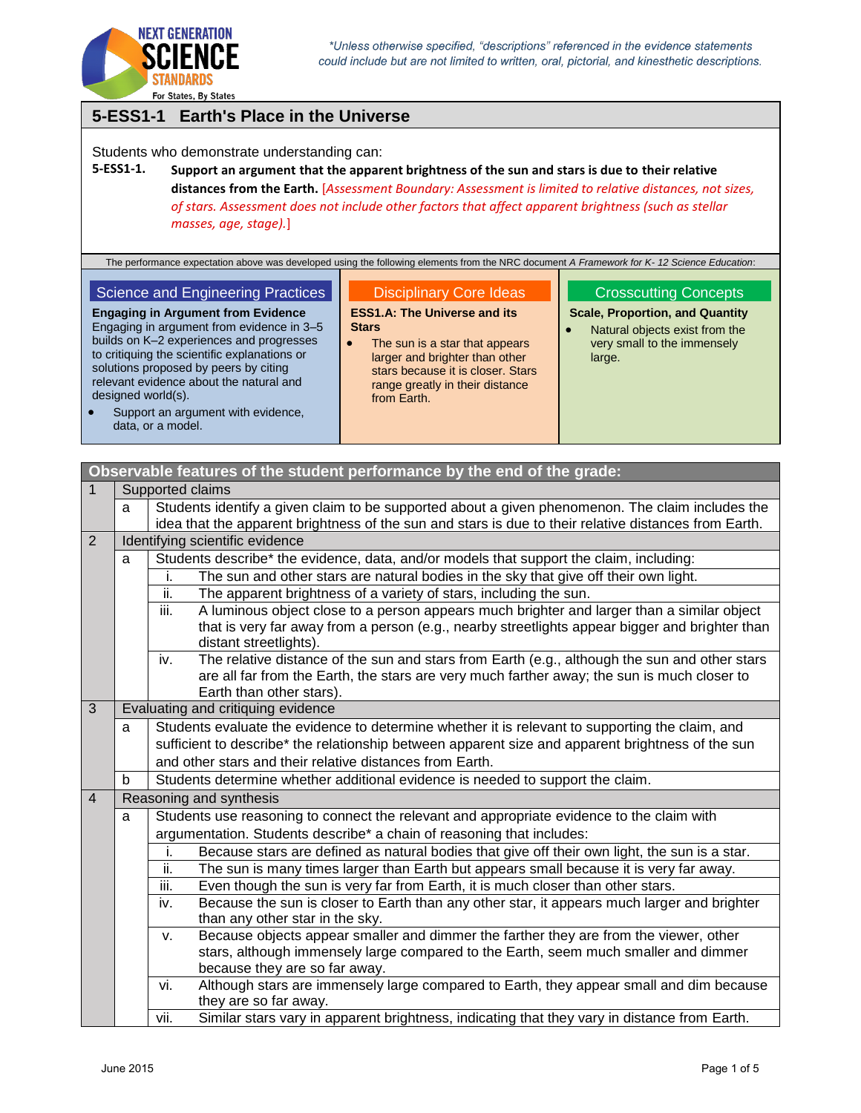

## **5-ESS1-1 Earth's Place in the Universe**

Students who demonstrate understanding can:

## **5-ESS1-1. Support an argument that the apparent brightness of the sun and stars is due to their relative distances from the Earth.** [*Assessment Boundary: Assessment is limited to relative distances, not sizes, of stars. Assessment does not include other factors that affect apparent brightness (such as stellar masses, age, stage).*]

The performance expectation above was developed using the following elements from the NRC document *A Framework for K- 12 Science Education*:

#### Science and Engineering Practices

**Engaging in Argument from Evidence** Engaging in argument from evidence in 3–5 builds on K–2 experiences and progresses to critiquing the scientific explanations or solutions proposed by peers by citing relevant evidence about the natural and designed world(s).

## Disciplinary Core Ideas

**ESS1.A: The Universe and its Stars**

• The sun is a star that appears larger and brighter than other stars because it is closer. Stars range greatly in their distance from Earth.

### Crosscutting Concepts

**Scale, Proportion, and Quantity**

 Natural objects exist from the very small to the immensely large.

| $\bullet$ | Support an argument with evidence. |
|-----------|------------------------------------|
|           | data, or a model.                  |

|                |                                                                                                       | Observable features of the student performance by the end of the grade:                                                                                                                              |  |  |
|----------------|-------------------------------------------------------------------------------------------------------|------------------------------------------------------------------------------------------------------------------------------------------------------------------------------------------------------|--|--|
| $\mathbf{1}$   |                                                                                                       | Supported claims                                                                                                                                                                                     |  |  |
|                | Students identify a given claim to be supported about a given phenomenon. The claim includes the<br>a |                                                                                                                                                                                                      |  |  |
|                |                                                                                                       | idea that the apparent brightness of the sun and stars is due to their relative distances from Earth.                                                                                                |  |  |
| 2              |                                                                                                       | Identifying scientific evidence                                                                                                                                                                      |  |  |
|                | a                                                                                                     | Students describe* the evidence, data, and/or models that support the claim, including:                                                                                                              |  |  |
|                |                                                                                                       | i.<br>The sun and other stars are natural bodies in the sky that give off their own light.                                                                                                           |  |  |
|                |                                                                                                       | ii.<br>The apparent brightness of a variety of stars, including the sun.                                                                                                                             |  |  |
|                |                                                                                                       | iii.<br>A luminous object close to a person appears much brighter and larger than a similar object                                                                                                   |  |  |
|                |                                                                                                       | that is very far away from a person (e.g., nearby streetlights appear bigger and brighter than                                                                                                       |  |  |
|                |                                                                                                       | distant streetlights).                                                                                                                                                                               |  |  |
|                |                                                                                                       | The relative distance of the sun and stars from Earth (e.g., although the sun and other stars<br>iv.                                                                                                 |  |  |
|                |                                                                                                       | are all far from the Earth, the stars are very much farther away; the sun is much closer to                                                                                                          |  |  |
| 3              |                                                                                                       | Earth than other stars).<br>Evaluating and critiquing evidence                                                                                                                                       |  |  |
|                |                                                                                                       |                                                                                                                                                                                                      |  |  |
|                | a                                                                                                     | Students evaluate the evidence to determine whether it is relevant to supporting the claim, and<br>sufficient to describe* the relationship between apparent size and apparent brightness of the sun |  |  |
|                |                                                                                                       | and other stars and their relative distances from Earth.                                                                                                                                             |  |  |
|                | b                                                                                                     | Students determine whether additional evidence is needed to support the claim.                                                                                                                       |  |  |
| $\overline{4}$ |                                                                                                       | Reasoning and synthesis                                                                                                                                                                              |  |  |
|                |                                                                                                       |                                                                                                                                                                                                      |  |  |
|                | a                                                                                                     | Students use reasoning to connect the relevant and appropriate evidence to the claim with                                                                                                            |  |  |
|                |                                                                                                       | argumentation. Students describe* a chain of reasoning that includes:                                                                                                                                |  |  |
|                |                                                                                                       | Because stars are defined as natural bodies that give off their own light, the sun is a star.<br>i.                                                                                                  |  |  |
|                |                                                                                                       | ii.<br>The sun is many times larger than Earth but appears small because it is very far away.<br>iii.                                                                                                |  |  |
|                |                                                                                                       | Even though the sun is very far from Earth, it is much closer than other stars.<br>Because the sun is closer to Earth than any other star, it appears much larger and brighter<br>iv.                |  |  |
|                |                                                                                                       | than any other star in the sky.                                                                                                                                                                      |  |  |
|                |                                                                                                       | Because objects appear smaller and dimmer the farther they are from the viewer, other<br>$V_{\cdot}$                                                                                                 |  |  |
|                |                                                                                                       | stars, although immensely large compared to the Earth, seem much smaller and dimmer                                                                                                                  |  |  |
|                |                                                                                                       | because they are so far away.                                                                                                                                                                        |  |  |
|                |                                                                                                       | Although stars are immensely large compared to Earth, they appear small and dim because<br>vi.                                                                                                       |  |  |
|                |                                                                                                       | they are so far away.                                                                                                                                                                                |  |  |
|                |                                                                                                       | Similar stars vary in apparent brightness, indicating that they vary in distance from Earth.<br>vii.                                                                                                 |  |  |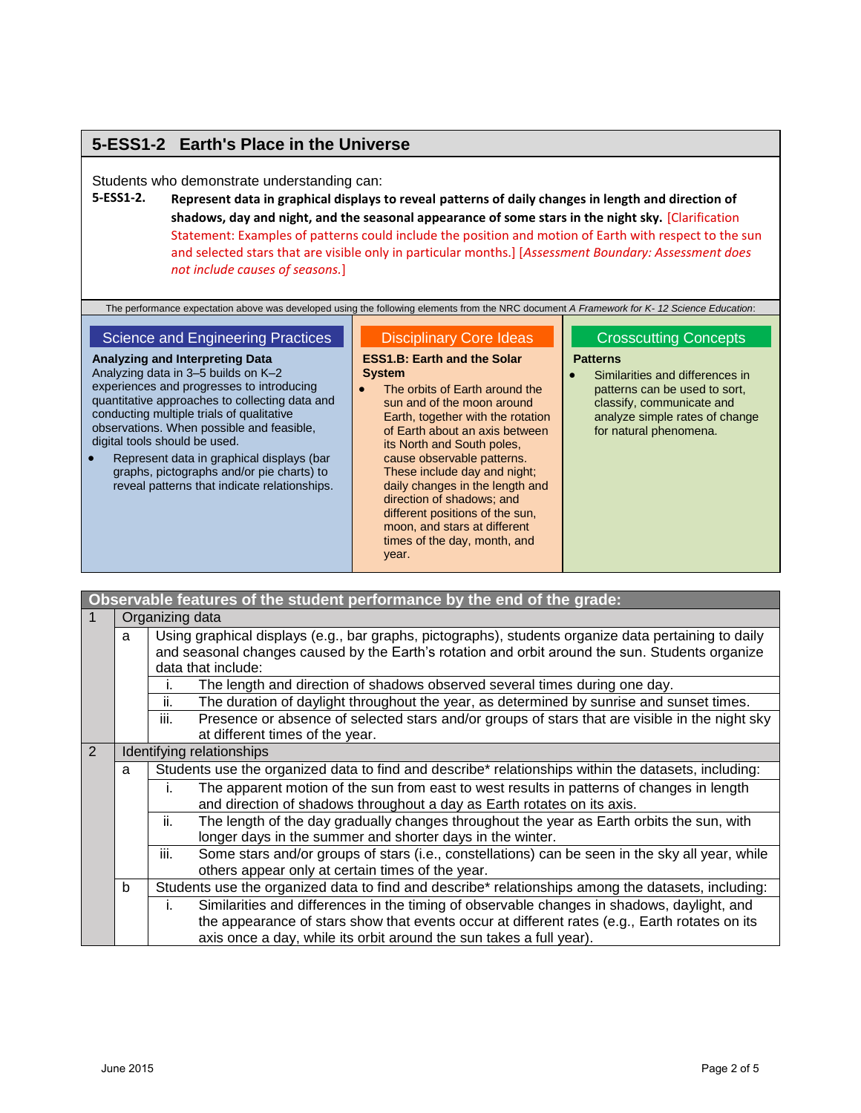## **5-ESS1-2 Earth's Place in the Universe**

#### Students who demonstrate understanding can:

**5-ESS1-2. Represent data in graphical displays to reveal patterns of daily changes in length and direction of shadows, day and night, and the seasonal appearance of some stars in the night sky.** [Clarification Statement: Examples of patterns could include the position and motion of Earth with respect to the sun and selected stars that are visible only in particular months.] [*Assessment Boundary: Assessment does not include causes of seasons.*]

#### Science and Engineering Practices

**Analyzing and Interpreting Data** Analyzing data in 3–5 builds on K–2 experiences and progresses to introducing quantitative approaches to collecting data and conducting multiple trials of qualitative observations. When possible and feasible, digital tools should be used.

 Represent data in graphical displays (bar graphs, pictographs and/or pie charts) to reveal patterns that indicate relationships.

#### Disciplinary Core Ideas

### **ESS1.B: Earth and the Solar System**

• The orbits of Earth around the sun and of the moon around Earth, together with the rotation of Earth about an axis between its North and South poles, cause observable patterns. These include day and night; daily changes in the length and direction of shadows; and different positions of the sun, moon, and stars at different times of the day, month, and year.

#### Crosscutting Concepts

#### **Patterns**

 Similarities and differences in patterns can be used to sort, classify, communicate and analyze simple rates of change for natural phenomena.

| Observable features of the student performance by the end of the grade:                                                                                                                                                            |                           |                                                                                                                                                                            |  |
|------------------------------------------------------------------------------------------------------------------------------------------------------------------------------------------------------------------------------------|---------------------------|----------------------------------------------------------------------------------------------------------------------------------------------------------------------------|--|
|                                                                                                                                                                                                                                    | Organizing data           |                                                                                                                                                                            |  |
| Using graphical displays (e.g., bar graphs, pictographs), students organize data pertaining to daily<br>a<br>and seasonal changes caused by the Earth's rotation and orbit around the sun. Students organize<br>data that include: |                           |                                                                                                                                                                            |  |
|                                                                                                                                                                                                                                    |                           | The length and direction of shadows observed several times during one day.                                                                                                 |  |
|                                                                                                                                                                                                                                    |                           | ii.<br>The duration of daylight throughout the year, as determined by sunrise and sunset times.                                                                            |  |
|                                                                                                                                                                                                                                    |                           | iii.<br>Presence or absence of selected stars and/or groups of stars that are visible in the night sky<br>at different times of the year.                                  |  |
| $\overline{2}$                                                                                                                                                                                                                     | Identifying relationships |                                                                                                                                                                            |  |
|                                                                                                                                                                                                                                    | a                         | Students use the organized data to find and describe* relationships within the datasets, including:                                                                        |  |
|                                                                                                                                                                                                                                    |                           | The apparent motion of the sun from east to west results in patterns of changes in length<br>I.<br>and direction of shadows throughout a day as Earth rotates on its axis. |  |
|                                                                                                                                                                                                                                    |                           | ii.<br>The length of the day gradually changes throughout the year as Earth orbits the sun, with<br>longer days in the summer and shorter days in the winter.              |  |
|                                                                                                                                                                                                                                    |                           | iii.<br>Some stars and/or groups of stars (i.e., constellations) can be seen in the sky all year, while<br>others appear only at certain times of the year.                |  |
| b                                                                                                                                                                                                                                  |                           | Students use the organized data to find and describe* relationships among the datasets, including:                                                                         |  |
|                                                                                                                                                                                                                                    |                           | Similarities and differences in the timing of observable changes in shadows, daylight, and<br>Ť.                                                                           |  |
|                                                                                                                                                                                                                                    |                           | the appearance of stars show that events occur at different rates (e.g., Earth rotates on its<br>axis once a day, while its orbit around the sun takes a full year).       |  |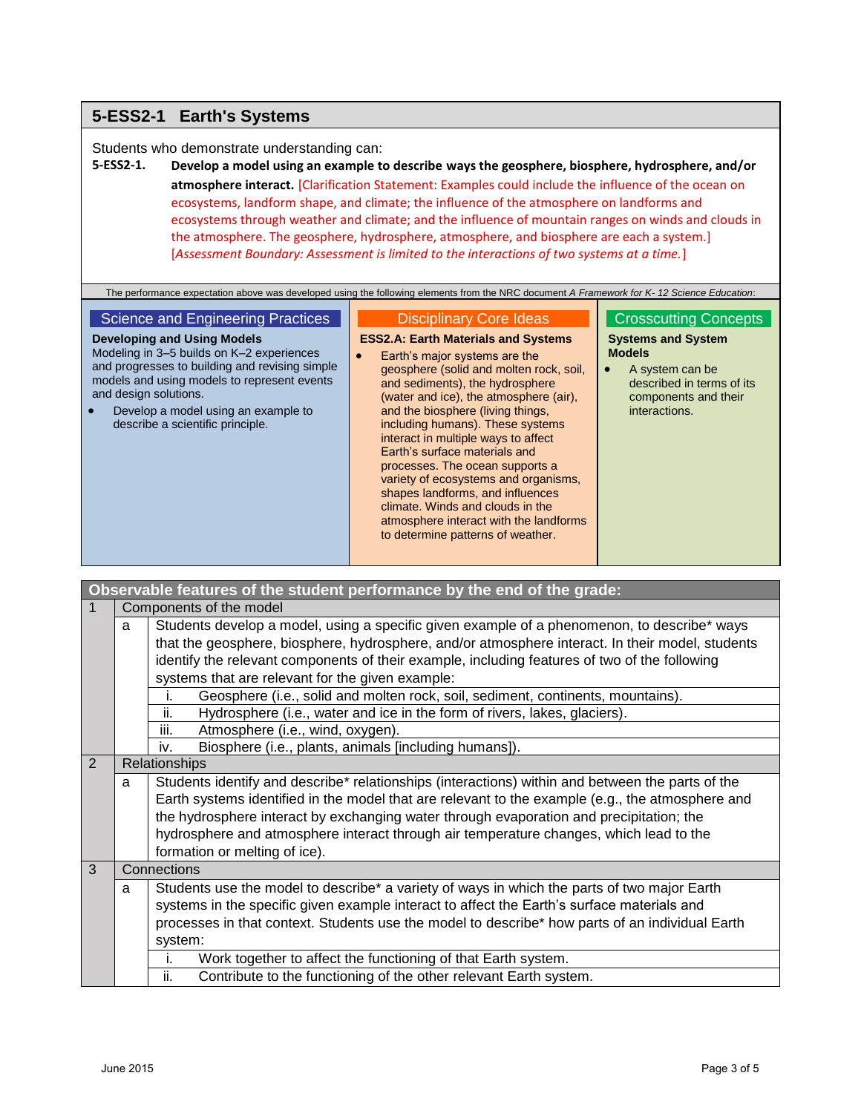## **5-ESS2-1 Earth's Systems**

Students who demonstrate understanding can:

**5-ESS2-1. Develop a model using an example to describe ways the geosphere, biosphere, hydrosphere, and/or atmosphere interact.** [Clarification Statement: Examples could include the influence of the ocean on ecosystems, landform shape, and climate; the influence of the atmosphere on landforms and ecosystems through weather and climate; and the influence of mountain ranges on winds and clouds in the atmosphere. The geosphere, hydrosphere, atmosphere, and biosphere are each a system.] [*Assessment Boundary: Assessment is limited to the interactions of two systems at a time.*]

| The performance expectation above was developed using the following elements from the NRC document A Framework for K-12 Science Education:                                                                                                                                                                                      |                                                                                                                                                                                                                                                                                                                                                                                                                                                                                                                                                                                                                          |                                                                                                                                                                                  |
|---------------------------------------------------------------------------------------------------------------------------------------------------------------------------------------------------------------------------------------------------------------------------------------------------------------------------------|--------------------------------------------------------------------------------------------------------------------------------------------------------------------------------------------------------------------------------------------------------------------------------------------------------------------------------------------------------------------------------------------------------------------------------------------------------------------------------------------------------------------------------------------------------------------------------------------------------------------------|----------------------------------------------------------------------------------------------------------------------------------------------------------------------------------|
| Science and Engineering Practices<br>Developing and Using Models<br>Modeling in 3–5 builds on K–2 experiences<br>$\bullet$<br>and progresses to building and revising simple<br>models and using models to represent events<br>and design solutions.<br>Develop a model using an example to<br>describe a scientific principle. | <b>Disciplinary Core Ideas</b><br><b>ESS2.A: Earth Materials and Systems</b><br>Earth's major systems are the<br>geosphere (solid and molten rock, soil,<br>and sediments), the hydrosphere<br>(water and ice), the atmosphere (air),<br>and the biosphere (living things,<br>including humans). These systems<br>interact in multiple ways to affect<br>Earth's surface materials and<br>processes. The ocean supports a<br>variety of ecosystems and organisms,<br>shapes landforms, and influences<br>climate. Winds and clouds in the<br>atmosphere interact with the landforms<br>to determine patterns of weather. | <b>Crosscutting Concepts</b><br><b>Systems and System</b><br><b>Models</b><br>A system can be<br>$\bullet$<br>described in terms of its<br>components and their<br>interactions. |

|                                                                                                       | Observable features of the student performance by the end of the grade:                 |                                                                                                  |  |  |
|-------------------------------------------------------------------------------------------------------|-----------------------------------------------------------------------------------------|--------------------------------------------------------------------------------------------------|--|--|
| $\mathbf{1}$                                                                                          |                                                                                         | Components of the model                                                                          |  |  |
|                                                                                                       | a                                                                                       | Students develop a model, using a specific given example of a phenomenon, to describe* ways      |  |  |
|                                                                                                       |                                                                                         | that the geosphere, biosphere, hydrosphere, and/or atmosphere interact. In their model, students |  |  |
|                                                                                                       |                                                                                         | identify the relevant components of their example, including features of two of the following    |  |  |
|                                                                                                       |                                                                                         | systems that are relevant for the given example:                                                 |  |  |
|                                                                                                       |                                                                                         | Geosphere (i.e., solid and molten rock, soil, sediment, continents, mountains).<br>i.            |  |  |
|                                                                                                       |                                                                                         | ii.<br>Hydrosphere (i.e., water and ice in the form of rivers, lakes, glaciers).                 |  |  |
|                                                                                                       |                                                                                         | iii.<br>Atmosphere (i.e., wind, oxygen).                                                         |  |  |
|                                                                                                       |                                                                                         | Biosphere (i.e., plants, animals [including humans]).<br>iv.                                     |  |  |
| $\overline{2}$                                                                                        |                                                                                         | Relationships                                                                                    |  |  |
| Students identify and describe* relationships (interactions) within and between the parts of the<br>a |                                                                                         |                                                                                                  |  |  |
| Earth systems identified in the model that are relevant to the example (e.g., the atmosphere and      |                                                                                         |                                                                                                  |  |  |
|                                                                                                       | the hydrosphere interact by exchanging water through evaporation and precipitation; the |                                                                                                  |  |  |
|                                                                                                       | hydrosphere and atmosphere interact through air temperature changes, which lead to the  |                                                                                                  |  |  |
|                                                                                                       | formation or melting of ice).                                                           |                                                                                                  |  |  |
| 3                                                                                                     |                                                                                         | Connections                                                                                      |  |  |
|                                                                                                       | a                                                                                       | Students use the model to describe* a variety of ways in which the parts of two major Earth      |  |  |
|                                                                                                       |                                                                                         | systems in the specific given example interact to affect the Earth's surface materials and       |  |  |
|                                                                                                       |                                                                                         | processes in that context. Students use the model to describe* how parts of an individual Earth  |  |  |
|                                                                                                       |                                                                                         | system:                                                                                          |  |  |
|                                                                                                       |                                                                                         | Work together to affect the functioning of that Earth system.<br>i.                              |  |  |
|                                                                                                       |                                                                                         | ii.<br>Contribute to the functioning of the other relevant Earth system.                         |  |  |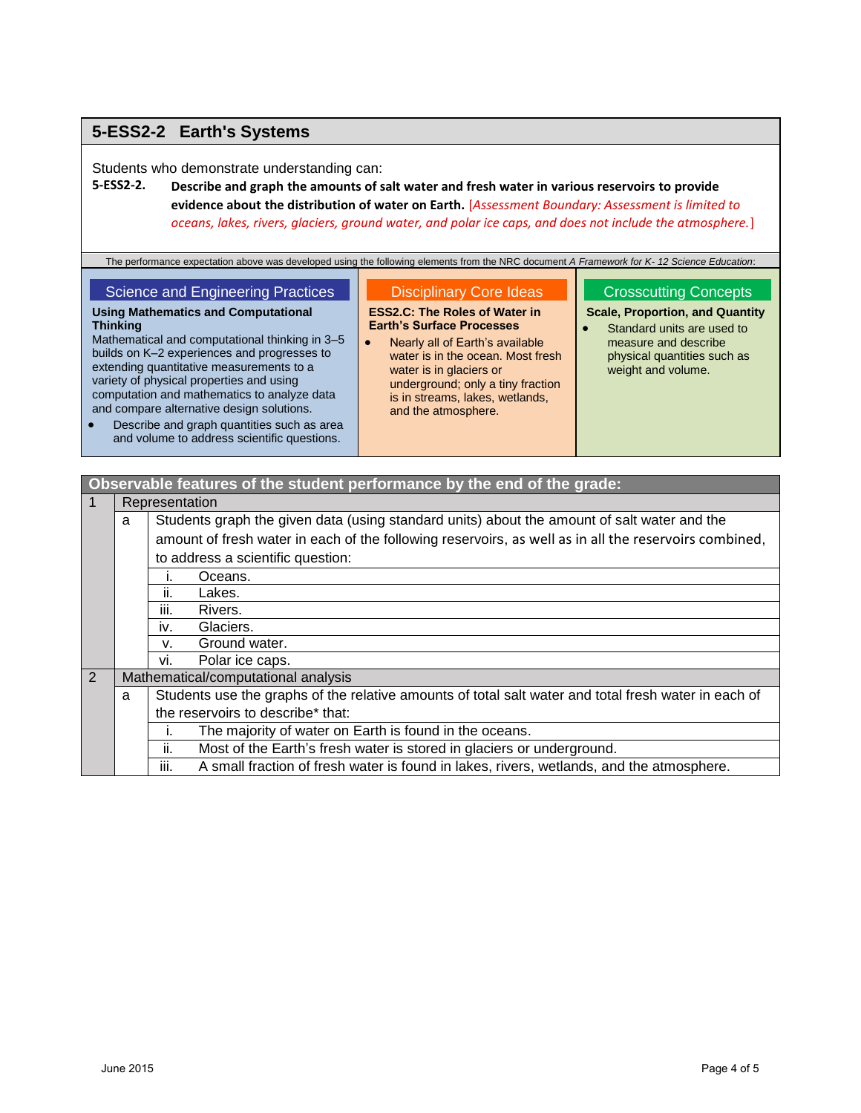## **5-ESS2-2 Earth's Systems**

Students who demonstrate understanding can:

## **5-ESS2-2. Describe and graph the amounts of salt water and fresh water in various reservoirs to provide evidence about the distribution of water on Earth.** [*Assessment Boundary: Assessment is limited to oceans, lakes, rivers, glaciers, ground water, and polar ice caps, and does not include the atmosphere.*]

The performance expectation above was developed using the following elements from the NRC document *A Framework for K- 12 Science Education*:

| Science and Engineering Practices              | <b>Disciplinary Core Ideas</b>       | <b>Crosscutting Concept</b>        |
|------------------------------------------------|--------------------------------------|------------------------------------|
| <b>Using Mathematics and Computational</b>     | <b>ESS2.C: The Roles of Water in</b> | <b>Scale, Proportion, and Quan</b> |
| <b>Thinking</b>                                | <b>Earth's Surface Processes</b>     | Standard units are used to         |
| Mathematical and computational thinking in 3-5 | Nearly all of Earth's available      | measure and describe               |
| builds on K-2 experiences and progresses to    | water is in the ocean. Most fresh    | physical quantities such a         |
| extending quantitative measurements to a       | water in in algoiare or              | woight and volume                  |

extending quantitative measurements to a variety of physical properties and using computation and mathematics to analyze data and compare alternative design solutions.

- Describe and graph quantities such as area and volume to address scientific questions.
- water is in glaciers or underground; only a tiny fraction is in streams, lakes, wetlands, and the atmosphere.

### Crosscutting Concepts

#### **Scale, Proportion, and Quantity**

**Standard units are used to** physical quantities such as weight and volume.

## **Observable features of the student performance by the end of the grade:**

| $\overline{1}$ |   | Representation                                                                                        |  |  |  |
|----------------|---|-------------------------------------------------------------------------------------------------------|--|--|--|
|                | a | Students graph the given data (using standard units) about the amount of salt water and the           |  |  |  |
|                |   | amount of fresh water in each of the following reservoirs, as well as in all the reservoirs combined, |  |  |  |
|                |   | to address a scientific question:                                                                     |  |  |  |
|                |   | Oceans.                                                                                               |  |  |  |
|                |   | Lakes.<br>ii.                                                                                         |  |  |  |
|                |   | Rivers.<br>Ш.                                                                                         |  |  |  |
|                |   | Glaciers.<br>İV.                                                                                      |  |  |  |
|                |   | Ground water.<br>v.                                                                                   |  |  |  |
|                |   | Polar ice caps.<br>vi.                                                                                |  |  |  |
| $\overline{2}$ |   | Mathematical/computational analysis                                                                   |  |  |  |
|                | a | Students use the graphs of the relative amounts of total salt water and total fresh water in each of  |  |  |  |
|                |   | the reservoirs to describe* that:                                                                     |  |  |  |
|                |   | The majority of water on Earth is found in the oceans.                                                |  |  |  |
|                |   | Most of the Earth's fresh water is stored in glaciers or underground.<br>ii.                          |  |  |  |
|                |   | A small fraction of fresh water is found in lakes, rivers, wetlands, and the atmosphere.<br>Ш.        |  |  |  |